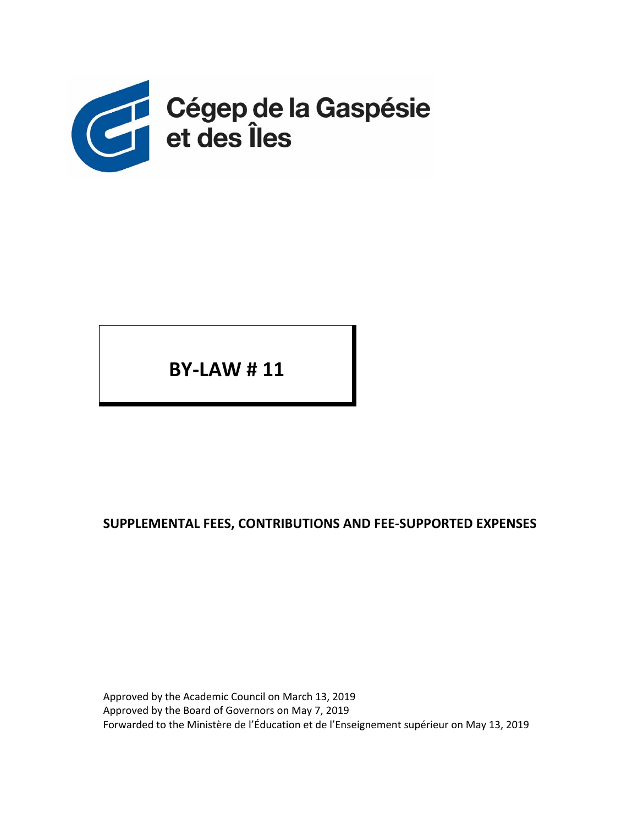

**BY‐LAW # 11** 

## **SUPPLEMENTAL FEES, CONTRIBUTIONS AND FEE‐SUPPORTED EXPENSES**

Approved by the Academic Council on March 13, 2019 Approved by the Board of Governors on May 7, 2019 Forwarded to the Ministère de l'Éducation et de l'Enseignement supérieur on May 13, 2019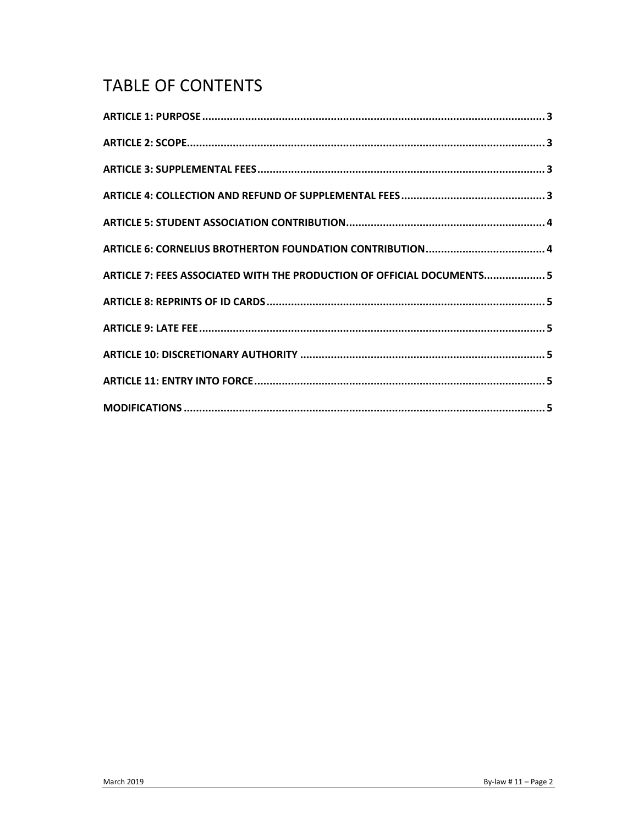# **TABLE OF CONTENTS**

| ARTICLE 7: FEES ASSOCIATED WITH THE PRODUCTION OF OFFICIAL DOCUMENTS 5 |  |
|------------------------------------------------------------------------|--|
|                                                                        |  |
|                                                                        |  |
|                                                                        |  |
|                                                                        |  |
|                                                                        |  |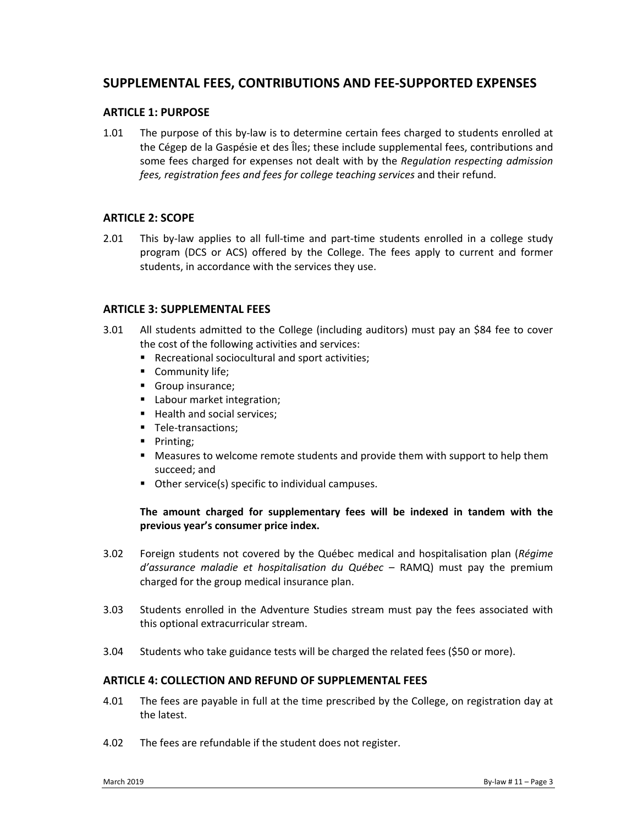### **SUPPLEMENTAL FEES, CONTRIBUTIONS AND FEE‐SUPPORTED EXPENSES**

#### **ARTICLE 1: PURPOSE**

1.01 The purpose of this by-law is to determine certain fees charged to students enrolled at the Cégep de la Gaspésie et des Îles; these include supplemental fees, contributions and some fees charged for expenses not dealt with by the *Regulation respecting admission fees, registration fees and fees for college teaching services* and their refund.

#### **ARTICLE 2: SCOPE**

2.01 This by-law applies to all full-time and part-time students enrolled in a college study program (DCS or ACS) offered by the College. The fees apply to current and former students, in accordance with the services they use.

#### **ARTICLE 3: SUPPLEMENTAL FEES**

- 3.01 All students admitted to the College (including auditors) must pay an \$84 fee to cover the cost of the following activities and services:
	- Recreational sociocultural and sport activities;
	- **Community life;**
	- Group insurance;
	- **Labour market integration;**
	- Health and social services;
	- Tele-transactions;
	- Printing;
	- Measures to welcome remote students and provide them with support to help them succeed; and
	- Other service(s) specific to individual campuses.

#### **The amount charged for supplementary fees will be indexed in tandem with the previous year's consumer price index.**

- 3.02 Foreign students not covered by the Québec medical and hospitalisation plan (*Régime d'assurance maladie et hospitalisation du Québec* – RAMQ) must pay the premium charged for the group medical insurance plan.
- 3.03 Students enrolled in the Adventure Studies stream must pay the fees associated with this optional extracurricular stream.
- 3.04 Students who take guidance tests will be charged the related fees (\$50 or more).

#### **ARTICLE 4: COLLECTION AND REFUND OF SUPPLEMENTAL FEES**

- 4.01 The fees are payable in full at the time prescribed by the College, on registration day at the latest.
- 4.02 The fees are refundable if the student does not register.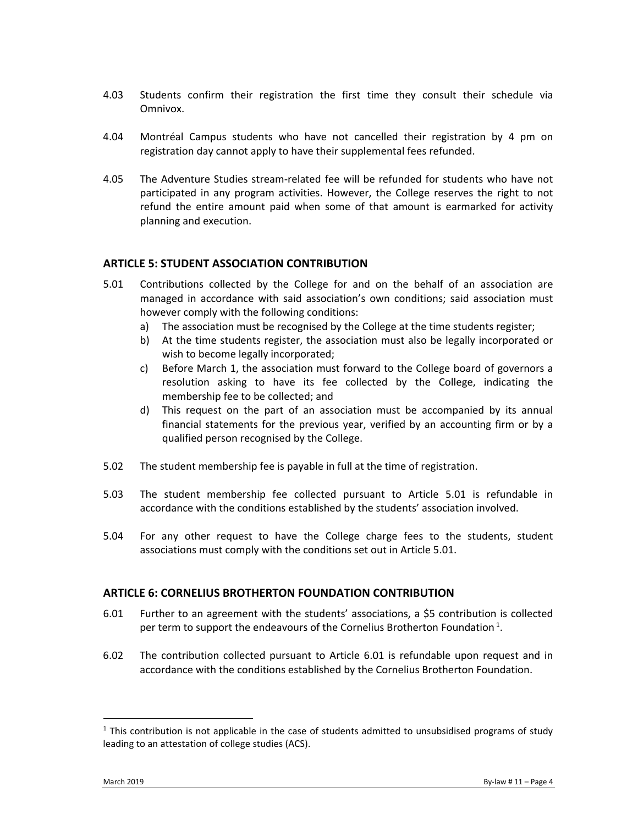- 4.03 Students confirm their registration the first time they consult their schedule via Omnivox.
- 4.04 Montréal Campus students who have not cancelled their registration by 4 pm on registration day cannot apply to have their supplemental fees refunded.
- 4.05 The Adventure Studies stream‐related fee will be refunded for students who have not participated in any program activities. However, the College reserves the right to not refund the entire amount paid when some of that amount is earmarked for activity planning and execution.

#### **ARTICLE 5: STUDENT ASSOCIATION CONTRIBUTION**

- 5.01 Contributions collected by the College for and on the behalf of an association are managed in accordance with said association's own conditions; said association must however comply with the following conditions:
	- a) The association must be recognised by the College at the time students register;
	- b) At the time students register, the association must also be legally incorporated or wish to become legally incorporated;
	- c) Before March 1, the association must forward to the College board of governors a resolution asking to have its fee collected by the College, indicating the membership fee to be collected; and
	- d) This request on the part of an association must be accompanied by its annual financial statements for the previous year, verified by an accounting firm or by a qualified person recognised by the College.
- 5.02 The student membership fee is payable in full at the time of registration.
- 5.03 The student membership fee collected pursuant to Article 5.01 is refundable in accordance with the conditions established by the students' association involved.
- 5.04 For any other request to have the College charge fees to the students, student associations must comply with the conditions set out in Article 5.01.

#### **ARTICLE 6: CORNELIUS BROTHERTON FOUNDATION CONTRIBUTION**

- 6.01 Further to an agreement with the students' associations, a \$5 contribution is collected per term to support the endeavours of the Cornelius Brotherton Foundation<sup>1</sup>.
- 6.02 The contribution collected pursuant to Article 6.01 is refundable upon request and in accordance with the conditions established by the Cornelius Brotherton Foundation.

 $\overline{a}$ 

 $<sup>1</sup>$  This contribution is not applicable in the case of students admitted to unsubsidised programs of study</sup> leading to an attestation of college studies (ACS).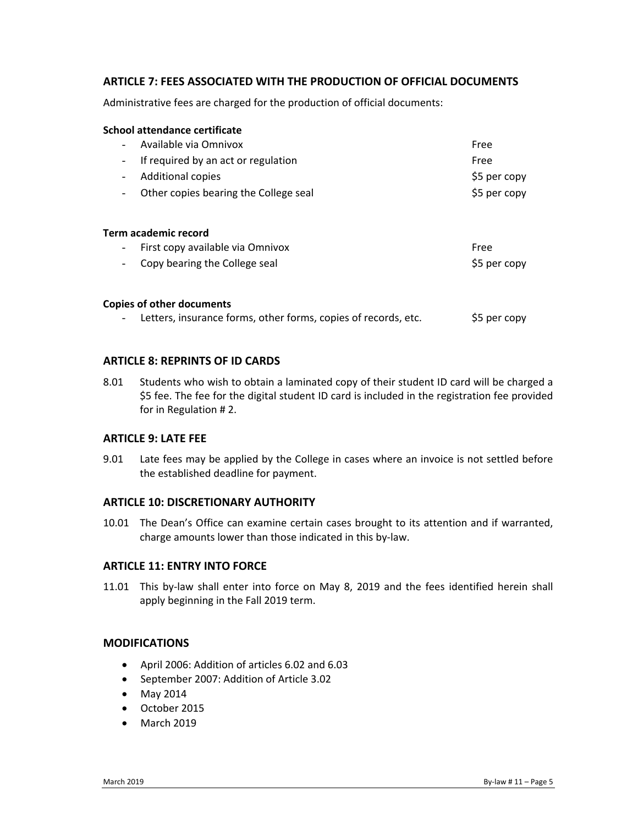#### **ARTICLE 7: FEES ASSOCIATED WITH THE PRODUCTION OF OFFICIAL DOCUMENTS**

Administrative fees are charged for the production of official documents:

| School attendance certificate                                     |              |
|-------------------------------------------------------------------|--------------|
| Available via Omnivox<br>$\overline{\phantom{a}}$                 | Free         |
| If required by an act or regulation<br>-                          | Free         |
| <b>Additional copies</b><br>-                                     | \$5 per copy |
| Other copies bearing the College seal<br>$\overline{\phantom{a}}$ | \$5 per copy |
| Term academic record                                              |              |
| First copy available via Omnivox<br>$\overline{\phantom{a}}$      | Free         |
| Copy bearing the College seal                                     | \$5 per copy |
| Copies of other documents                                         |              |
| Letters, insurance forms, other forms, copies of records, etc.    | \$5 per copy |

#### **ARTICLE 8: REPRINTS OF ID CARDS**

8.01 Students who wish to obtain a laminated copy of their student ID card will be charged a \$5 fee. The fee for the digital student ID card is included in the registration fee provided for in Regulation # 2.

#### **ARTICLE 9: LATE FEE**

9.01 Late fees may be applied by the College in cases where an invoice is not settled before the established deadline for payment.

#### **ARTICLE 10: DISCRETIONARY AUTHORITY**

10.01 The Dean's Office can examine certain cases brought to its attention and if warranted, charge amounts lower than those indicated in this by‐law.

#### **ARTICLE 11: ENTRY INTO FORCE**

11.01 This by-law shall enter into force on May 8, 2019 and the fees identified herein shall apply beginning in the Fall 2019 term.

#### **MODIFICATIONS**

- April 2006: Addition of articles 6.02 and 6.03
- September 2007: Addition of Article 3.02
- May 2014
- October 2015
- March 2019